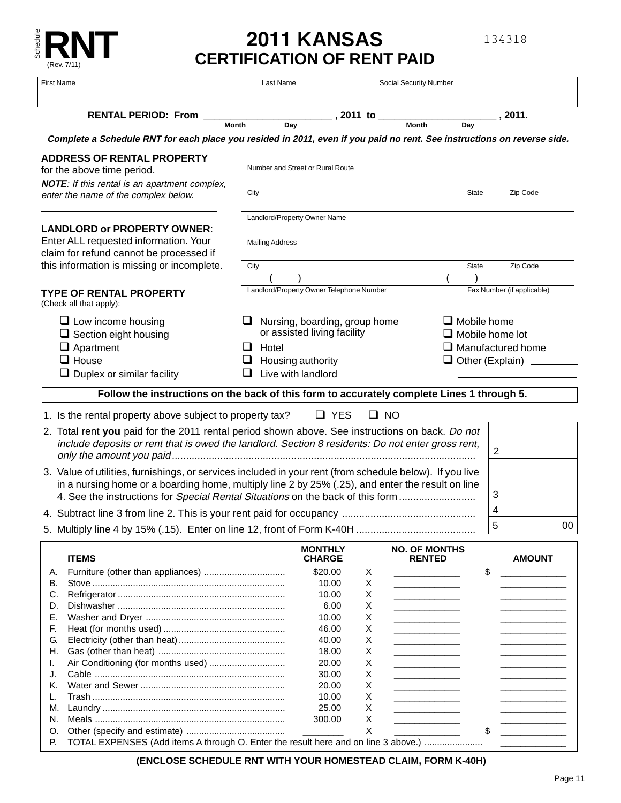

# **2011 KANSAS CERTIFICATION OF RENT PAID**

134318

| <b>First Name</b>                                                                                                       | Last Name                                | Social Security Number                                                                                                                                                                                                                    |                            |
|-------------------------------------------------------------------------------------------------------------------------|------------------------------------------|-------------------------------------------------------------------------------------------------------------------------------------------------------------------------------------------------------------------------------------------|----------------------------|
| <b>RENTAL PERIOD: From</b>                                                                                              | $\_$ , 2011 to $\_$                      |                                                                                                                                                                                                                                           | $_$ , 2011.                |
|                                                                                                                         | Month<br>Day                             | <b>Month</b><br>Day                                                                                                                                                                                                                       |                            |
| Complete a Schedule RNT for each place you resided in 2011, even if you paid no rent. See instructions on reverse side. |                                          |                                                                                                                                                                                                                                           |                            |
| <b>ADDRESS OF RENTAL PROPERTY</b><br>for the above time period.                                                         | Number and Street or Rural Route         |                                                                                                                                                                                                                                           |                            |
| <b>NOTE:</b> If this rental is an apartment complex,                                                                    |                                          |                                                                                                                                                                                                                                           |                            |
| enter the name of the complex below.                                                                                    | City                                     | <b>State</b>                                                                                                                                                                                                                              | Zip Code                   |
|                                                                                                                         | Landlord/Property Owner Name             |                                                                                                                                                                                                                                           |                            |
| <b>LANDLORD or PROPERTY OWNER:</b>                                                                                      |                                          |                                                                                                                                                                                                                                           |                            |
| Enter ALL requested information. Your<br><b>Mailing Address</b>                                                         |                                          |                                                                                                                                                                                                                                           |                            |
| claim for refund cannot be processed if<br>this information is missing or incomplete.                                   |                                          |                                                                                                                                                                                                                                           |                            |
|                                                                                                                         | City                                     | <b>State</b>                                                                                                                                                                                                                              | Zip Code                   |
|                                                                                                                         |                                          |                                                                                                                                                                                                                                           |                            |
| <b>TYPE OF RENTAL PROPERTY</b><br>(Check all that apply):                                                               | Landlord/Property Owner Telephone Number |                                                                                                                                                                                                                                           | Fax Number (if applicable) |
| $\Box$ Low income housing                                                                                               | Nursing, boarding, group home            | $\Box$ Mobile home                                                                                                                                                                                                                        |                            |
| $\Box$ Section eight housing                                                                                            | or assisted living facility              |                                                                                                                                                                                                                                           | $\Box$ Mobile home lot     |
| $\Box$ Apartment                                                                                                        | Hotel<br>ப                               |                                                                                                                                                                                                                                           | $\Box$ Manufactured home   |
| $\Box$ House                                                                                                            | Housing authority                        |                                                                                                                                                                                                                                           | $\Box$ Other (Explain)     |
| $\Box$ Duplex or similar facility                                                                                       | Live with landlord                       |                                                                                                                                                                                                                                           |                            |
| Follow the instructions on the back of this form to accurately complete Lines 1 through 5.                              |                                          |                                                                                                                                                                                                                                           |                            |
| 1. Is the rental property above subject to property tax?                                                                | $\Box$ YES                               | $\Box$ NO                                                                                                                                                                                                                                 |                            |
|                                                                                                                         |                                          |                                                                                                                                                                                                                                           |                            |
| 2. Total rent you paid for the 2011 rental period shown above. See instructions on back. Do not                         |                                          |                                                                                                                                                                                                                                           |                            |
| include deposits or rent that is owed the landlord. Section 8 residents: Do not enter gross rent,                       |                                          |                                                                                                                                                                                                                                           | 2                          |
| 3. Value of utilities, furnishings, or services included in your rent (from schedule below). If you live                |                                          |                                                                                                                                                                                                                                           |                            |
| in a nursing home or a boarding home, multiply line 2 by 25% (.25), and enter the result on line                        |                                          |                                                                                                                                                                                                                                           |                            |
| 4. See the instructions for Special Rental Situations on the back of this form                                          |                                          |                                                                                                                                                                                                                                           | 3                          |
|                                                                                                                         |                                          |                                                                                                                                                                                                                                           | 4                          |
|                                                                                                                         |                                          |                                                                                                                                                                                                                                           | 5<br>$00\,$                |
|                                                                                                                         | <b>MONTHLY</b>                           | <b>NO. OF MONTHS</b>                                                                                                                                                                                                                      |                            |
| <b>ITEMS</b>                                                                                                            | <b>CHARGE</b>                            | <u>RENTED</u>                                                                                                                                                                                                                             | <u>AMOUNT</u>              |
| Α.<br>В.                                                                                                                | \$20.00<br>10.00                         | X                                                                                                                                                                                                                                         | \$                         |
| C.                                                                                                                      | 10.00                                    | X<br><u> 1990 - Johann Barnett, fransk politiker</u><br>X                                                                                                                                                                                 |                            |
| D.                                                                                                                      | 6.00                                     | Χ                                                                                                                                                                                                                                         |                            |
| Е.                                                                                                                      | 10.00                                    | X                                                                                                                                                                                                                                         |                            |
| F.                                                                                                                      | 46.00                                    | X<br><u> The Community of the Community of the Community of the Community of the Community of the Community of the Community of the Community of the Community of the Community of the Community of the Community of the Community of</u> |                            |
| G.                                                                                                                      | 40.00                                    | X                                                                                                                                                                                                                                         |                            |
| Η.                                                                                                                      | 18.00                                    | X                                                                                                                                                                                                                                         |                            |
| ı.                                                                                                                      | 20.00                                    | Χ                                                                                                                                                                                                                                         |                            |
| J.                                                                                                                      | 30.00                                    | Х                                                                                                                                                                                                                                         |                            |
| Κ.                                                                                                                      | 20.00                                    | Χ                                                                                                                                                                                                                                         |                            |
| L.<br>M.                                                                                                                | 10.00<br>25.00                           | X<br>X                                                                                                                                                                                                                                    |                            |
| N.                                                                                                                      | 300.00                                   | X                                                                                                                                                                                                                                         |                            |
| O.                                                                                                                      |                                          | X                                                                                                                                                                                                                                         |                            |

P. TOTAL EXPENSES (Add items A through O. Enter the result here and on line 3 above.) .......................

O. Other (specify and estimate) ....................................... \_\_\_\_\_\_\_\_ X \_\_\_\_\_\_\_\_\_\_\_\_\_ \$ \_\_\_\_\_\_\_\_\_\_\_\_\_

**(ENCLOSE SCHEDULE RNT WITH YOUR HOMESTEAD CLAIM, FORM K-40H)**